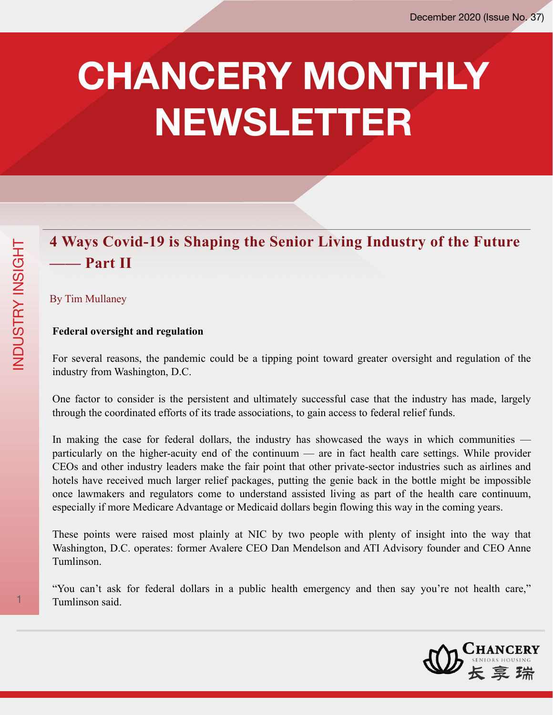# **CHANCERY MONTHLY NEWSLETTER**

## **4 Ways Covid-19 is Shaping the Senior Living Industry of the Future —— Part II**

## By Tim Mullaney

#### **Federal oversight and regulation**

For several reasons, the pandemic could be a tipping point toward greater oversight and regulation of the industry from Washington, D.C.

One factor to consider is the persistent and ultimately successful case that the industry has made, largely through the coordinated efforts of its trade associations, to gain access to federal relief funds.

In making the case for federal dollars, the industry has showcased the ways in which communities particularly on the higher-acuity end of the continuum — are in fact health care settings. While provider CEOs and other industry leaders make the fair point that other private-sector industries such as airlines and hotels have received much larger relief packages, putting the genie back in the bottle might be impossible once lawmakers and regulators come to understand assisted living as part of the health care continuum, especially if more Medicare Advantage or Medicaid dollars begin flowing this way in the coming years.

These points were raised most plainly at NIC by two people with plenty of insight into the way that Washington, D.C. operates: former Avalere CEO Dan Mendelson and ATI Advisory founder and CEO Anne Tumlinson.

"You can't ask for federal dollars in a public health emergency and then say you're not health care," 1 Tumlinson said.

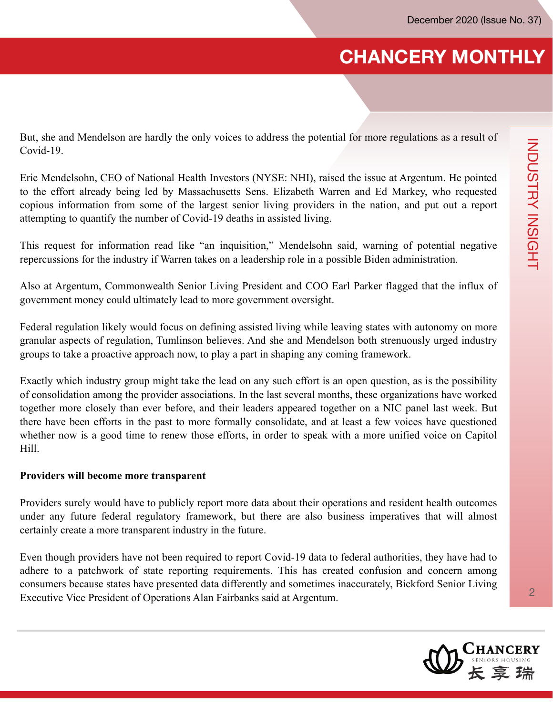But, she and Mendelson are hardly the only voices to address the potential for more regulations as a result of Covid-19.

Eric Mendelsohn, CEO of National Health Investors (NYSE: NHI), raised the issue at Argentum. He pointed to the effort already being led by Massachusetts Sens. Elizabeth Warren and Ed Markey, who requested copious information from some of the largest senior living providers in the nation, and put out a report attempting to quantify the number of Covid-19 deaths in assisted living.

This request for information read like "an inquisition," Mendelsohn said, warning of potential negative repercussions for the industry if Warren takes on a leadership role in a possible Biden administration.

Also at Argentum, Commonwealth Senior Living President and COO Earl Parker flagged that the influx of government money could ultimately lead to more government oversight.

Federal regulation likely would focus on defining assisted living while leaving states with autonomy on more granular aspects of regulation, Tumlinson believes. And she and Mendelson both strenuously urged industry groups to take a proactive approach now, to play a part in shaping any coming framework.

Exactly which industry group might take the lead on any such effort is an open question, as is the possibility of consolidation among the provider associations. In the last several months, these organizations have worked together more closely than ever before, and their leaders appeared together on a NIC panel last week. But there have been efforts in the past to more formally consolidate, and at least a few voices have questioned whether now is a good time to renew those efforts, in order to speak with a more unified voice on Capitol Hill.

#### **Providers will become more transparent**

Providers surely would have to publicly report more data about their operations and resident health outcomes under any future federal regulatory framework, but there are also business imperatives that will almost certainly create a more transparent industry in the future.

Even though providers have not been required to report Covid-19 data to federal authorities, they have had to adhere to a patchwork of state reporting requirements. This has created confusion and concern among consumers because states have presented data differently and sometimes inaccurately, Bickford Senior Living Executive Vice President of Operations Alan Fairbanks said at Argentum.

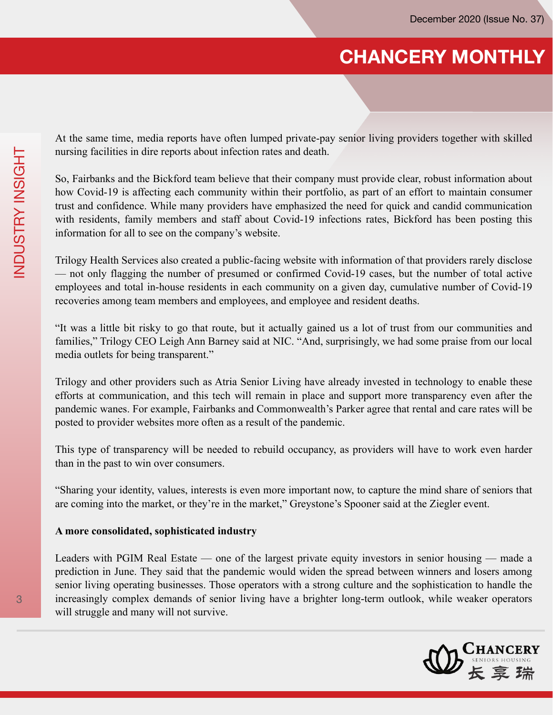At the same time, media reports have often lumped private-pay senior living providers together with skilled nursing facilities in dire reports about infection rates and death.

So, Fairbanks and the Bickford team believe that their company must provide clear, robust information about how Covid-19 is affecting each community within their portfolio, as part of an effort to maintain consumer trust and confidence. While many providers have emphasized the need for quick and candid communication with residents, family members and staff about Covid-19 infections rates, Bickford has been posting this information for all to see on the company's website.

Trilogy Health Services also created a public-facing website with information of that providers rarely disclose — not only flagging the number of presumed or confirmed Covid-19 cases, but the number of total active employees and total in-house residents in each community on a given day, cumulative number of Covid-19 recoveries among team members and employees, and employee and resident deaths.

"It was a little bit risky to go that route, but it actually gained us a lot of trust from our communities and families," Trilogy CEO Leigh Ann Barney said at NIC. "And, surprisingly, we had some praise from our local media outlets for being transparent."

Trilogy and other providers such as Atria Senior Living have already invested in technology to enable these efforts at communication, and this tech will remain in place and support more transparency even after the pandemic wanes. For example, Fairbanks and Commonwealth's Parker agree that rental and care rates will be posted to provider websites more often as a result of the pandemic.

This type of transparency will be needed to rebuild occupancy, as providers will have to work even harder than in the past to win over consumers.

"Sharing your identity, values, interests is even more important now, to capture the mind share of seniors that are coming into the market, or they're in the market," Greystone's Spooner said at the Ziegler event.

#### **A more consolidated, sophisticated industry**

Leaders with PGIM Real Estate — one of the largest private equity investors in senior housing — made a prediction in June. They said that the pandemic would widen the spread between winners and losers among senior living operating businesses. Those operators with a strong culture and the sophistication to handle the increasingly complex demands of senior living have a brighter long-term outlook, while weaker operators will struggle and many will not survive.

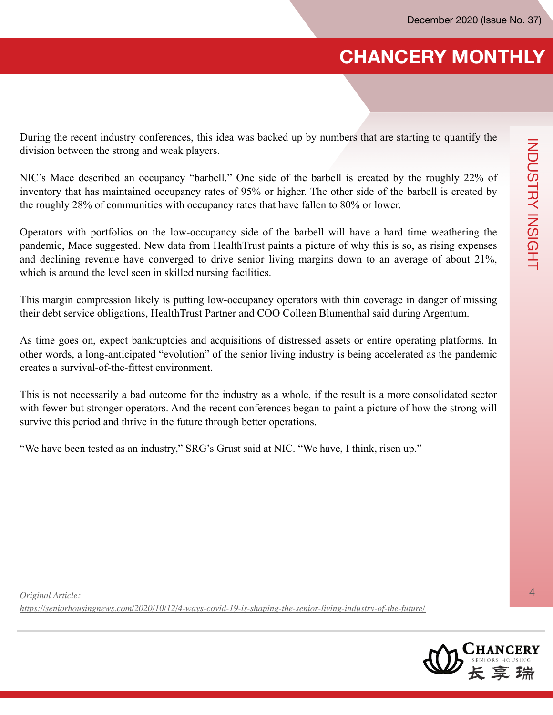During the recent industry conferences, this idea was backed up by numbers that are starting to quantify the division between the strong and weak players.

NIC's Mace described an occupancy "barbell." One side of the barbell is created by the roughly 22% of inventory that has maintained occupancy rates of 95% or higher. The other side of the barbell is created by the roughly 28% of communities with occupancy rates that have fallen to 80% or lower.

Operators with portfolios on the low-occupancy side of the barbell will have a hard time weathering the pandemic, Mace suggested. New data from HealthTrust paints a picture of why this is so, as rising expenses and declining revenue have converged to drive senior living margins down to an average of about 21%, which is around the level seen in skilled nursing facilities.

This margin compression likely is putting low-occupancy operators with thin coverage in danger of missing their debt service obligations, HealthTrust Partner and COO Colleen Blumenthal said during Argentum.

As time goes on, expect bankruptcies and acquisitions of distressed assets or entire operating platforms. In other words, a long-anticipated "evolution" of the senior living industry is being accelerated as the pandemic creates a survival-of-the-fittest environment.

This is not necessarily a bad outcome for the industry as a whole, if the result is a more consolidated sector with fewer but stronger operators. And the recent conferences began to paint a picture of how the strong will survive this period and thrive in the future through better operations.

"We have been tested as an industry," SRG's Grust said at NIC. "We have, I think, risen up."

*Original Article: https://seniorhousingnews.com/2020/10/12/4-ways-covid-19-is-shaping-the-senior-living-industry-of-the-future/*